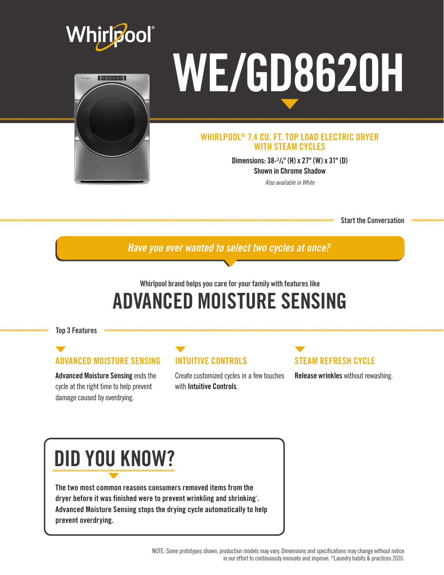



# WE/GD8620H

#### WHIRLPOOL® 7.4 CU. FT. TOP LOAD ELECTRIC DRYER WITH STEAM CYCLES

Dimensions: 38-3 /4" (H) x 27" (W) x 31" (D) Shown in Chrome Shadow

*Also available in White*

Start the Conversation

*Have you ever wanted to select two cycles at once?*

## Whirlpool brand helps you care for your family with features like ADVANCED MOISTURE SENSING

Top 3 Features

### ADVANCED MOISTURE SENSING

Advanced Moisture Sensing ends the cycle at the right time to help prevent damage caused by overdrying.

#### INTUITIVE CONTROLS

Create customized cycles in a few touches with Intuitive Controls.

## STEAM REFRESH CYCLE

Release wrinkles without rewashing.

## DID YOU KNOW?

The two most common reasons consumers removed items from the dryer before it was finished were to prevent wrinkling and shrinking\* . Advanced Moisture Sensing stops the drying cycle automatically to help prevent overdrying.